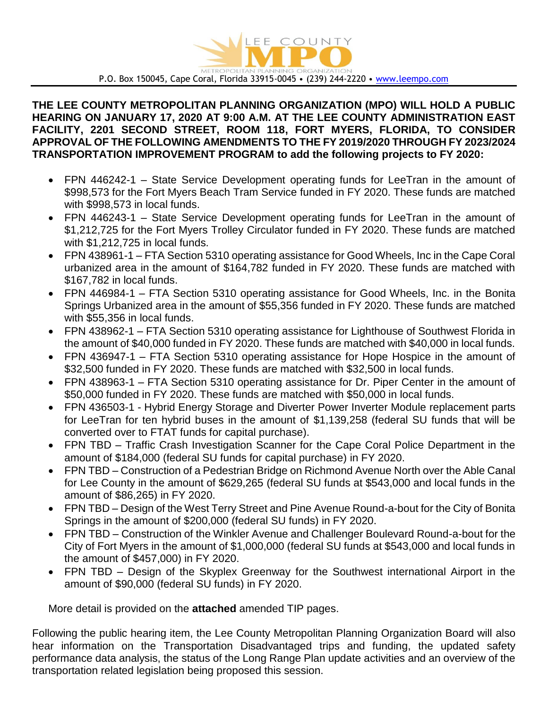

P.O. Box 150045, Cape Coral, Florida 33915-0045 • (239) 244-2220 • [www.leempo.com](http://www.leempo.com/)

# **THE LEE COUNTY METROPOLITAN PLANNING ORGANIZATION (MPO) WILL HOLD A PUBLIC HEARING ON JANUARY 17, 2020 AT 9:00 A.M. AT THE LEE COUNTY ADMINISTRATION EAST FACILITY, 2201 SECOND STREET, ROOM 118, FORT MYERS, FLORIDA, TO CONSIDER APPROVAL OF THE FOLLOWING AMENDMENTS TO THE FY 2019/2020 THROUGH FY 2023/2024 TRANSPORTATION IMPROVEMENT PROGRAM to add the following projects to FY 2020:**

- FPN 446242-1 State Service Development operating funds for LeeTran in the amount of \$998,573 for the Fort Myers Beach Tram Service funded in FY 2020. These funds are matched with \$998,573 in local funds.
- FPN 446243-1 State Service Development operating funds for LeeTran in the amount of \$1,212,725 for the Fort Myers Trolley Circulator funded in FY 2020. These funds are matched with \$1,212,725 in local funds.
- FPN 438961-1 FTA Section 5310 operating assistance for Good Wheels, Inc in the Cape Coral urbanized area in the amount of \$164,782 funded in FY 2020. These funds are matched with \$167,782 in local funds.
- FPN 446984-1 FTA Section 5310 operating assistance for Good Wheels, Inc. in the Bonita Springs Urbanized area in the amount of \$55,356 funded in FY 2020. These funds are matched with \$55,356 in local funds.
- FPN 438962-1 FTA Section 5310 operating assistance for Lighthouse of Southwest Florida in the amount of \$40,000 funded in FY 2020. These funds are matched with \$40,000 in local funds.
- FPN 436947-1 FTA Section 5310 operating assistance for Hope Hospice in the amount of \$32,500 funded in FY 2020. These funds are matched with \$32,500 in local funds.
- FPN 438963-1 FTA Section 5310 operating assistance for Dr. Piper Center in the amount of \$50,000 funded in FY 2020. These funds are matched with \$50,000 in local funds.
- FPN 436503-1 Hybrid Energy Storage and Diverter Power Inverter Module replacement parts for LeeTran for ten hybrid buses in the amount of \$1,139,258 (federal SU funds that will be converted over to FTAT funds for capital purchase).
- FPN TBD Traffic Crash Investigation Scanner for the Cape Coral Police Department in the amount of \$184,000 (federal SU funds for capital purchase) in FY 2020.
- FPN TBD Construction of a Pedestrian Bridge on Richmond Avenue North over the Able Canal for Lee County in the amount of \$629,265 (federal SU funds at \$543,000 and local funds in the amount of \$86,265) in FY 2020.
- FPN TBD Design of the West Terry Street and Pine Avenue Round-a-bout for the City of Bonita Springs in the amount of \$200,000 (federal SU funds) in FY 2020.
- FPN TBD Construction of the Winkler Avenue and Challenger Boulevard Round-a-bout for the City of Fort Myers in the amount of \$1,000,000 (federal SU funds at \$543,000 and local funds in the amount of \$457,000) in FY 2020.
- FPN TBD Design of the Skyplex Greenway for the Southwest international Airport in the amount of \$90,000 (federal SU funds) in FY 2020.

More detail is provided on the **attached** amended TIP pages.

Following the public hearing item, the Lee County Metropolitan Planning Organization Board will also hear information on the Transportation Disadvantaged trips and funding, the updated safety performance data analysis, the status of the Long Range Plan update activities and an overview of the transportation related legislation being proposed this session.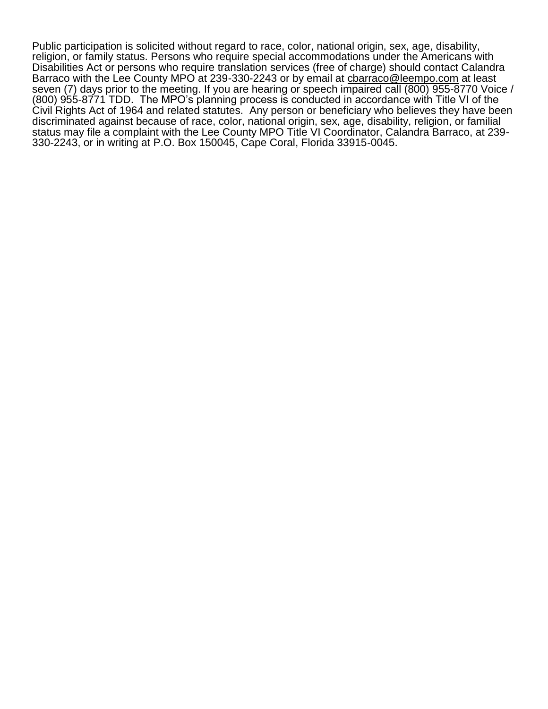Public participation is solicited without regard to race, color, national origin, sex, age, disability, religion, or family status. Persons who require special accommodations under the Americans with Disabilities Act or persons who require translation services (free of charge) should contact Calandra Barraco with the Lee County MPO at 239-330-2243 or by email at [cbarraco@leempo.com](mailto:cbarraco@leempo.com) at least seven (7) days prior to the meeting. If you are hearing or speech impaired call (800) 955-8770 Voice / (800) 955-8771 TDD. The MPO's planning process is conducted in accordance with Title VI of the Civil Rights Act of 1964 and related statutes. Any person or beneficiary who believes they have been discriminated against because of race, color, national origin, sex, age, disability, religion, or familial status may file a complaint with the Lee County MPO Title VI Coordinator, Calandra Barraco, at 239- 330-2243, or in writing at P.O. Box 150045, Cape Coral, Florida 33915-0045.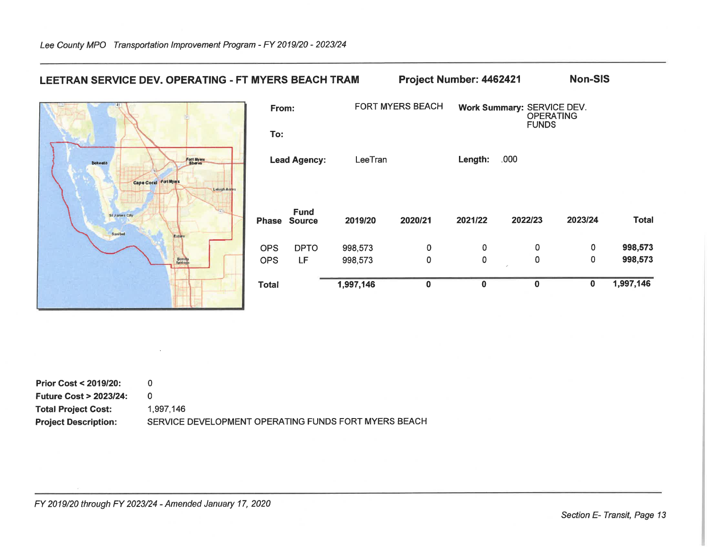

| <b>Prior Cost &lt; 2019/20:</b>  |                                                      |
|----------------------------------|------------------------------------------------------|
| <b>Future Cost &gt; 2023/24:</b> |                                                      |
| <b>Total Project Cost:</b>       | 1.997.146                                            |
| <b>Project Description:</b>      | SERVICE DEVELOPMENT OPERATING FUNDS FORT MYERS BEACH |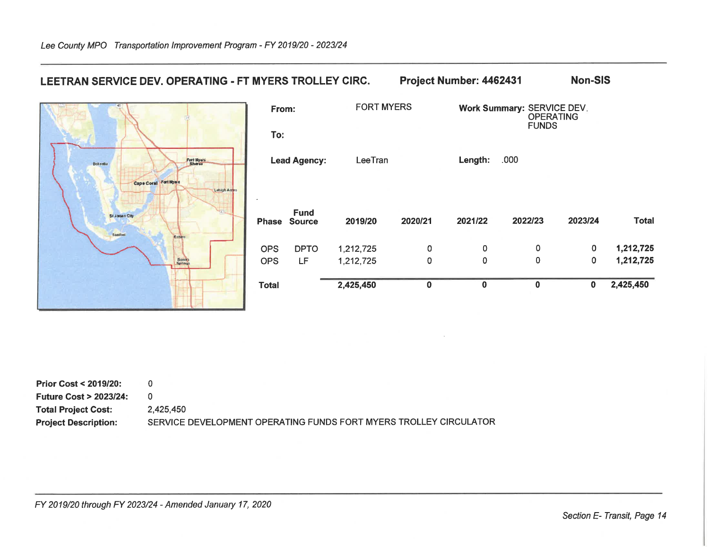

| Prior Cost < 2019/20:  |                                                                   |
|------------------------|-------------------------------------------------------------------|
| Future Cost > 2023/24: |                                                                   |
| Total Project Cost:    | 2.425.450                                                         |
| Project Description:   | SERVICE DEVELOPMENT OPERATING FUNDS FORT MYERS TROLLEY CIRCULATOR |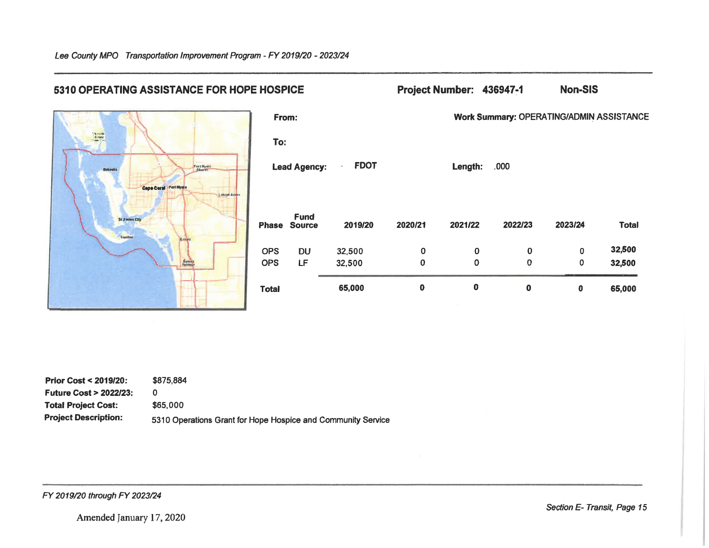

| <b>Prior Cost &lt; 2019/20:</b>  | \$875.884                                                    |
|----------------------------------|--------------------------------------------------------------|
| <b>Future Cost &gt; 2022/23:</b> |                                                              |
| <b>Total Project Cost:</b>       | \$65,000                                                     |
| <b>Project Description:</b>      | 5310 Operations Grant for Hope Hospice and Community Service |

FY 2019/20 through FY 2023/24

Amended January 17, 2020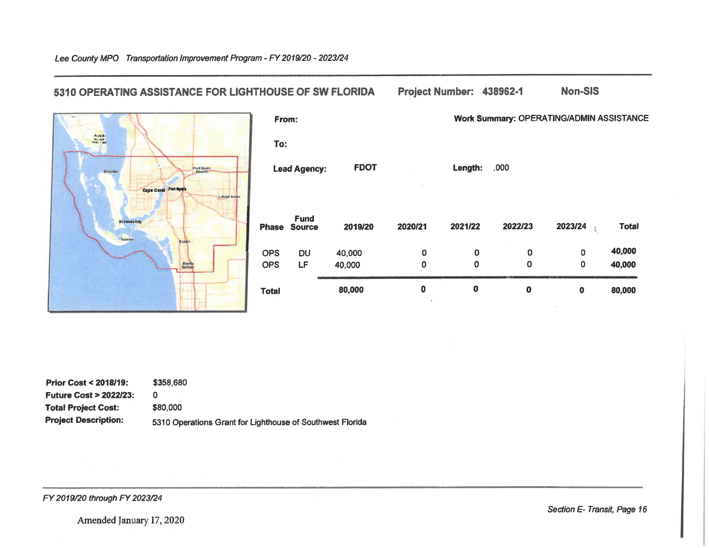

Lee County MPO Transportation Improvement Program - FY 2019/20 - 2023/24

## 5310 OPERATING ASSISTANCE FOR LIGHTHOUSE OF SW FLORIDA

### Project Number: 438962-1 **Non-SIS**

Work Summary: OPERATING/ADMIN ASSISTANCE

| <b>Lead Agency:</b> |                                    | <b>FDOT</b> |             | Length:     | .000        |         |              |
|---------------------|------------------------------------|-------------|-------------|-------------|-------------|---------|--------------|
|                     | <b>Fund</b><br><b>Phase Source</b> | 2019/20     | 2020/21     | 2021/22     | 2022/23     | 2023/24 | <b>Total</b> |
| <b>OPS</b>          | <b>DU</b>                          | 40,000      | 0           | $\mathbf 0$ | 0           | 0       | 40,000       |
| <b>OPS</b>          | LF                                 | 40,000      | 0           | $\mathbf 0$ | 0           | 0       | 40,000       |
| <b>Total</b>        |                                    | 80,000      | 0<br>$\sim$ | $\bf{0}$    | $\mathbf 0$ | 0       | 80,000       |

| <b>Prior Cost &lt; 2018/19:</b>  | \$358,680                                                 |
|----------------------------------|-----------------------------------------------------------|
| <b>Future Cost &gt; 2022/23:</b> |                                                           |
| <b>Total Project Cost:</b>       | \$80,000                                                  |
| <b>Project Description:</b>      | 5310 Operations Grant for Lighthouse of Southwest Florida |

FY 2019/20 through FY 2023/24

Section E- Transit, Page 16

Amended January 17, 2020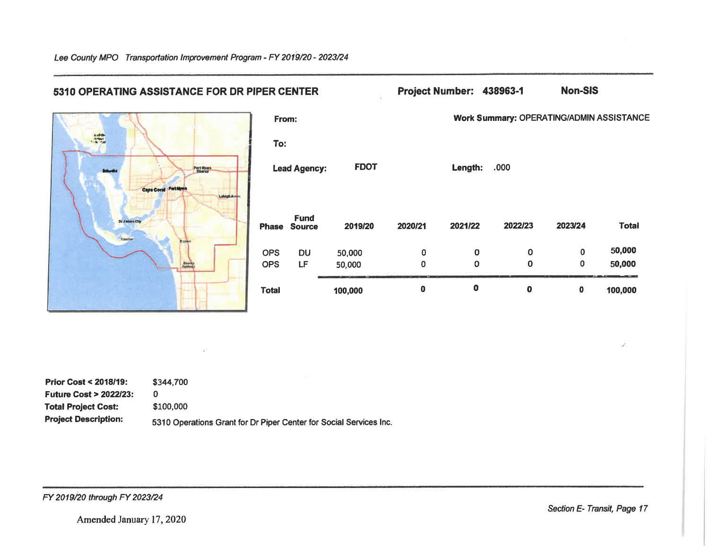| 5310 OPERATING ASSISTANCE FOR DR PIPER CENTER |              |                                    |             |             | Project Number: 438963-1 |                                                 | <b>Non-SIS</b> |              |
|-----------------------------------------------|--------------|------------------------------------|-------------|-------------|--------------------------|-------------------------------------------------|----------------|--------------|
|                                               | From:        |                                    |             |             |                          | <b>Work Summary: OPERATING/ADMIN ASSISTANCE</b> |                |              |
| Autobis                                       | To:          |                                    |             |             |                          |                                                 |                |              |
| Fort Myon<br><b>Bokash</b>                    |              | <b>Lead Agency:</b>                | <b>FDOT</b> |             | Length:                  | .000                                            |                |              |
| Capa Coral Fattitues<br>Lehigh Acre           |              |                                    |             |             |                          |                                                 |                |              |
| <b>St James City</b>                          |              | <b>Fund</b><br><b>Phase Source</b> | 2019/20     | 2020/21     | 2021/22                  | 2022/23                                         | 2023/24        | <b>Total</b> |
| Saniber                                       |              |                                    |             |             |                          |                                                 |                |              |
|                                               | <b>OPS</b>   | <b>DU</b>                          | 50,000      | $\bf{0}$    | $\mathbf 0$              | 0                                               | $\mathbf 0$    | 50,000       |
| Bonda<br>Springs                              | <b>OPS</b>   | LF                                 | 50,000      | $\mathbf 0$ | $\mathbf 0$              | $\mathbf 0$                                     | $\pmb{0}$      | 50,000       |
|                                               | <b>Total</b> |                                    | 100,000     | $\bf{0}$    | $\mathbf 0$              | $\mathbf 0$                                     | $\mathbf 0$    | 100,000      |

| <b>Prior Cost &lt; 2018/19:</b>  | \$344,700                                                          |
|----------------------------------|--------------------------------------------------------------------|
| <b>Future Cost &gt; 2022/23:</b> |                                                                    |
| <b>Total Project Cost:</b>       | \$100,000                                                          |
| <b>Project Description:</b>      | 5310 Operations Grant for Dr Piper Center for Social Services Inc. |

FY 2019/20 through FY 2023/24

Section E- Transit, Page 17

7

Lee County MPO Transportation Improvement Program - FY 2019/20 - 2023/24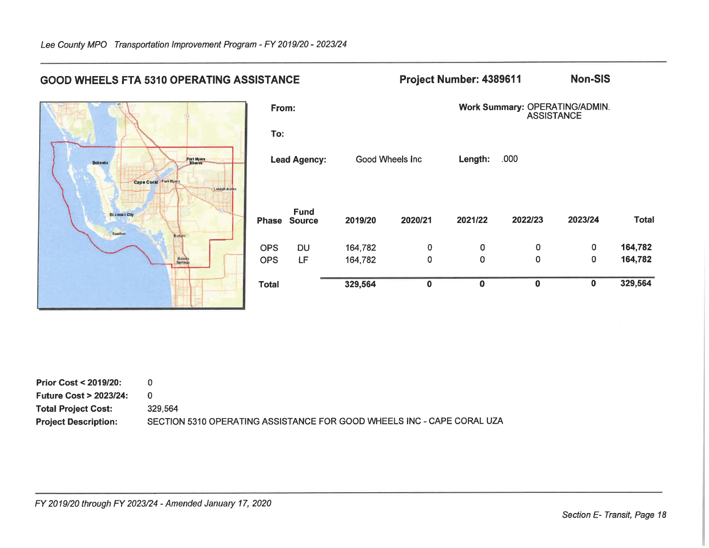

| Prior Cost $<$ 2019/20:          |                                                                        |
|----------------------------------|------------------------------------------------------------------------|
| <b>Future Cost &gt; 2023/24:</b> |                                                                        |
| <b>Total Project Cost:</b>       | 329.564                                                                |
| <b>Project Description:</b>      | SECTION 5310 OPERATING ASSISTANCE FOR GOOD WHEELS INC - CAPE CORAL UZA |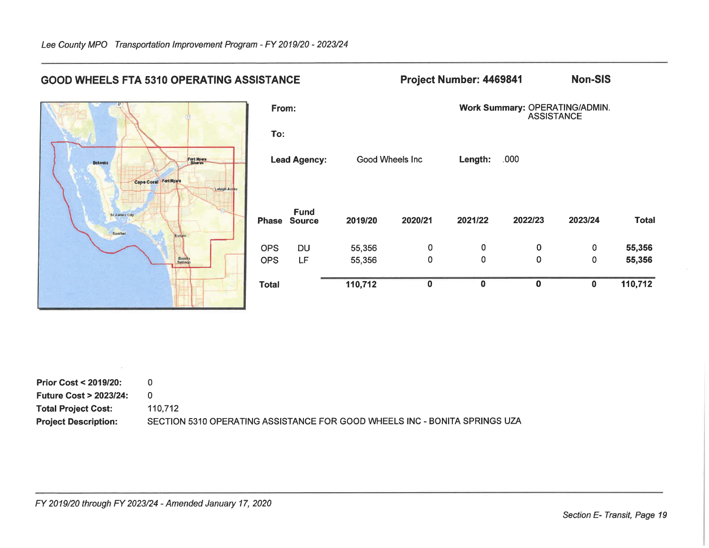

| <b>Prior Cost &lt; 2019/20:</b>  |                                                                            |
|----------------------------------|----------------------------------------------------------------------------|
| <b>Future Cost &gt; 2023/24:</b> |                                                                            |
| <b>Total Project Cost:</b>       | 110.712                                                                    |
| <b>Project Description:</b>      | SECTION 5310 OPERATING ASSISTANCE FOR GOOD WHEELS INC - BONITA SPRINGS UZA |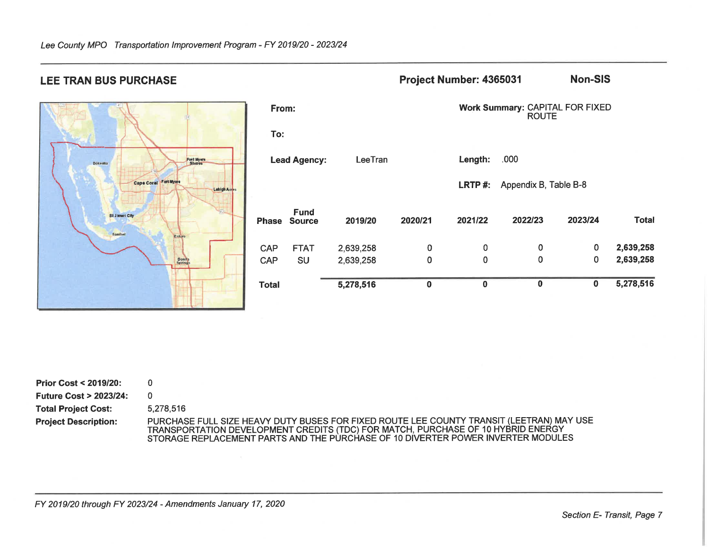

| 'otal      |                              | 5,278,516 | $\bf{0}$ | $\mathbf 0$ | $\bf{0}$                                               | $\bf{0}$ | 5,278,516    |  |  |
|------------|------------------------------|-----------|----------|-------------|--------------------------------------------------------|----------|--------------|--|--|
| <b>CAP</b> | <b>SU</b>                    | 2,639,258 | $\Omega$ | 0           | $\mathbf 0$                                            | 0        | 2,639,258    |  |  |
| <b>CAP</b> | <b>FTAT</b>                  | 2,639,258 | 0        | 0           | 0                                                      | 0        | 2,639,258    |  |  |
| hase       | <b>Fund</b><br><b>Source</b> | 2019/20   | 2020/21  | 2021/22     | 2022/23                                                | 2023/24  | <b>Total</b> |  |  |
|            |                              |           |          | LRTP#:      | Appendix B, Table B-8                                  |          |              |  |  |
|            | <b>Lead Agency:</b>          | LeeTran   |          | Length:     | .000                                                   |          |              |  |  |
| To:        |                              |           |          |             |                                                        |          |              |  |  |
| From:      |                              |           |          |             | <b>Work Summary: CAPITAL FOR FIXED</b><br><b>ROUTE</b> |          |              |  |  |
|            |                              |           |          |             |                                                        |          |              |  |  |

Project Number: 4365031

| <b>Prior Cost &lt; 2019/20:</b>  |                                                                                                                                                                                                                                                                  |
|----------------------------------|------------------------------------------------------------------------------------------------------------------------------------------------------------------------------------------------------------------------------------------------------------------|
| <b>Future Cost &gt; 2023/24:</b> |                                                                                                                                                                                                                                                                  |
| <b>Total Project Cost:</b>       | 5.278.516                                                                                                                                                                                                                                                        |
| <b>Project Description:</b>      | PURCHASE FULL SIZE HEAVY DUTY BUSES FOR FIXED ROUTE LEE COUNTY TRANSIT (LEETRAN) MAY USE<br>TRANSPORTATION DEVELOPMENT CREDITS (TDC) FOR MATCH, PURCHASE OF 10 HYBRID ENERGY<br>STORAGE REPLACEMENT PARTS AND THE PURCHASE OF 10 DIVERTER POWER INVERTER MODULES |

# **LEE TRAN BUS PURCHASE**

FY 2019/20 through FY 2023/24 - Amendments January 17, 2020

**Non-SIS**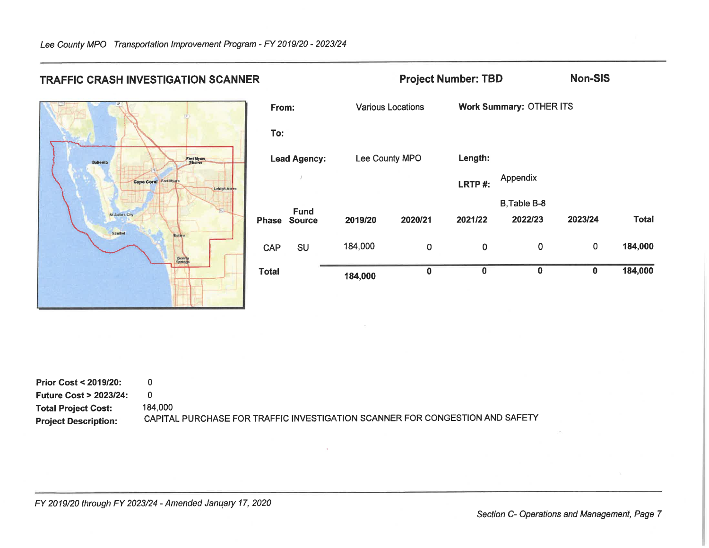

| From:        |                              | <b>Various Locations</b> |          |          | <b>Work Summary: OTHER ITS</b> |          |              |  |  |
|--------------|------------------------------|--------------------------|----------|----------|--------------------------------|----------|--------------|--|--|
| To:          |                              |                          |          |          |                                |          |              |  |  |
|              | <b>Lead Agency:</b>          | Lee County MPO           |          | Length:  |                                |          |              |  |  |
|              | Ĵ                            |                          |          | LRTP#:   | Appendix                       |          |              |  |  |
|              |                              |                          |          |          | B.Table B-8                    |          |              |  |  |
| <b>hase</b>  | <b>Fund</b><br><b>Source</b> | 2019/20                  | 2020/21  | 2021/22  | 2022/23                        | 2023/24  | <b>Total</b> |  |  |
| <b>CAP</b>   | <b>SU</b>                    | 184,000                  | $\bf{0}$ | 0        | $\mathbf 0$                    | 0        | 184,000      |  |  |
| <b>Total</b> |                              | 184,000                  | $\bf{0}$ | $\bf{0}$ | $\bf{0}$                       | $\bf{0}$ | 184,000      |  |  |

**Project Number: TBD** 

| <b>Prior Cost &lt; 2019/20:</b>  |                                                                              |
|----------------------------------|------------------------------------------------------------------------------|
| <b>Future Cost &gt; 2023/24:</b> |                                                                              |
| <b>Total Project Cost:</b>       | 184.000                                                                      |
| <b>Project Description:</b>      | CAPITAL PURCHASE FOR TRAFFIC INVESTIGATION SCANNER FOR CONGESTION AND SAFETY |

**TRAFFIC CRASH INVESTIGATION SCANNER** 

FY 2019/20 through FY 2023/24 - Amended January 17, 2020

Section C- Operations and Management, Page 7

**Non-SIS**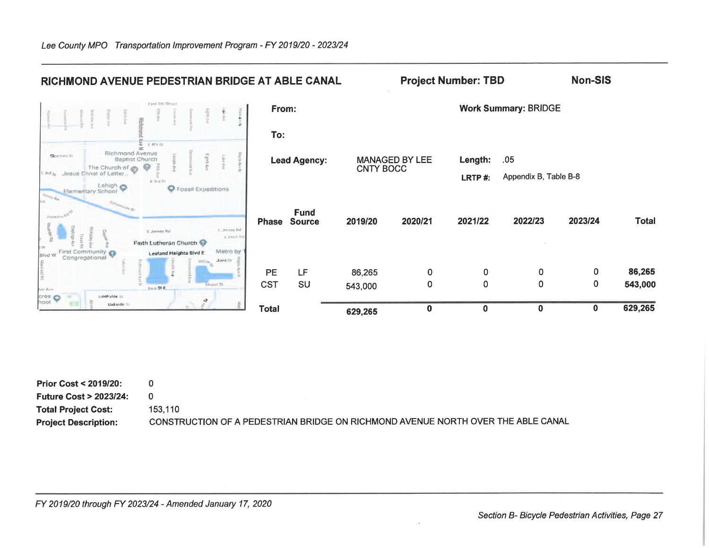| RICHMOND AVENUE PEDESTRIAN BRIDGE AT ABLE CANAL                                                                          |              |                              |                                           | <b>Project Number: TBD</b> |          |                             | <b>Non-SIS</b> |              |
|--------------------------------------------------------------------------------------------------------------------------|--------------|------------------------------|-------------------------------------------|----------------------------|----------|-----------------------------|----------------|--------------|
| East 5th Street                                                                                                          | From:        |                              |                                           |                            |          | <b>Work Summary: BRIDGE</b> |                |              |
| Rich                                                                                                                     | To:          |                              |                                           |                            |          |                             |                |              |
| E 4th St<br>Richmond Avenue<br>Stinford St.<br>Elgitth Av<br><b>Baptist Church</b><br>0<br>The Church of @               |              | <b>Lead Agency:</b>          | <b>MANAGED BY LEE</b><br><b>CNTY BOCC</b> |                            | Length:  | .05                         |                |              |
| Jesus Christ of Latter<br>3rds<br>E 3rd fit<br>Lehigh O<br><b>O</b> Fossil Expeditions<br>Elementary School<br>Davys Ret |              |                              |                                           |                            | LRTP#:   | Appendix B, Table B-8       |                |              |
| Jasmine story<br>E Jersey Rd<br>E. Jersey Rd                                                                             | <b>Phase</b> | <b>Fund</b><br><b>Source</b> | 2019/20                                   | 2020/21                    | 2021/22  | 2022/23                     | 2023/24        | <b>Total</b> |
| E Perin R<br>Faith Lutheran Church<br>Metro by<br>First Community<br>Lecland Heights Blvd E                              |              |                              |                                           |                            |          |                             |                |              |
| <b>Blvd W</b><br>Congregational<br><b>Juno the</b><br>Willow-                                                            | PE           | LF                           | 86,265                                    | $\mathbf 0$                | 0        | 0                           | 0              | 86,265       |
| Monet St<br>Heat St E.<br>har Ave<br>$\frac{1}{2}$<br><b>Brookside</b> St                                                | <b>CST</b>   | SU                           | 543,000                                   | $\mathbf 0$                | 0        | $\mathbf 0$                 | 0              | 543,000      |
| tool<br><b>Wakside St</b>                                                                                                | <b>Total</b> |                              | 629,265                                   | $\mathbf 0$                | $\bf{0}$ | $\mathbf 0$                 | 0              | 629,265      |

| <b>Prior Cost &lt; 2019/20:</b>  |                                                                                  |
|----------------------------------|----------------------------------------------------------------------------------|
| <b>Future Cost &gt; 2023/24:</b> |                                                                                  |
| <b>Total Project Cost:</b>       | 153.110                                                                          |
| <b>Project Description:</b>      | CONSTRUCTION OF A PEDESTRIAN BRIDGE ON RICHMOND AVENUE NORTH OVER THE ABLE CANAL |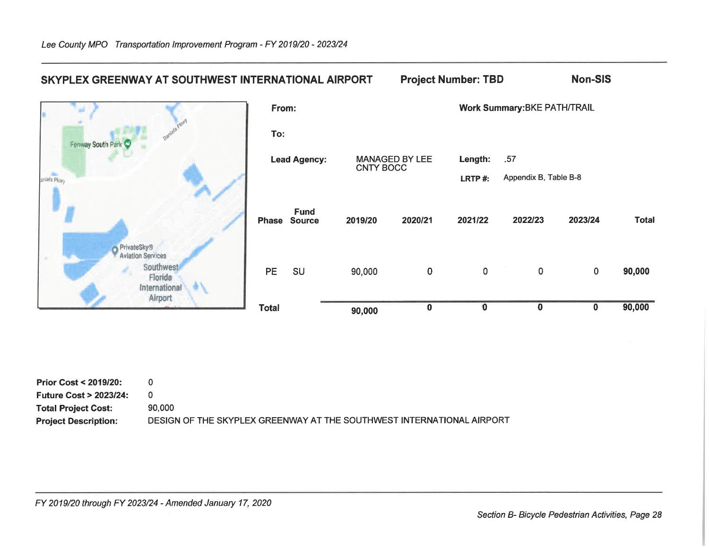## Non-SIS SKYPLEX GREENWAY AT SOUTHWEST INTERNATIONAL AIRPORT **Project Number: TBD** Work Summary: BKE PATH/TRAIL From: To: Fenway South **MANAGED BY LEE** Length: .57 **Lead Agency:** CNTY BOCC **SE** Appendix B, Table B-8 aniels Pkwy LRTP#: **Fund** 2019/20 2020/21 2021/22 2022/23 2023/24 **Phase Source** PrivateSky<sup>®</sup><br>P Aviation Services

90,000

90,000

 $\overline{0}$ 

 $\bf{0}$ 

 $\overline{0}$ 

 $\overline{\mathbf{0}}$ 

 $\overline{0}$ 

 $\overline{\mathbf{0}}$ 

 $\mathbf{0}$ 

 $\overline{\mathbf{0}}$ 

| <b>Prior Cost &lt; 2019/20:</b>  |                                                                       |
|----------------------------------|-----------------------------------------------------------------------|
| <b>Future Cost &gt; 2023/24:</b> |                                                                       |
| <b>Total Project Cost:</b>       | 90.000                                                                |
| <b>Project Description:</b>      | DESIGN OF THE SKYPLEX GREENWAY AT THE SOUTHWEST INTERNATIONAL AIRPORT |

PE

**Total** 

SU

FY 2019/20 through FY 2023/24 - Amended January 17, 2020

Southwest

Florida International Airport

**Total** 

90,000

90,000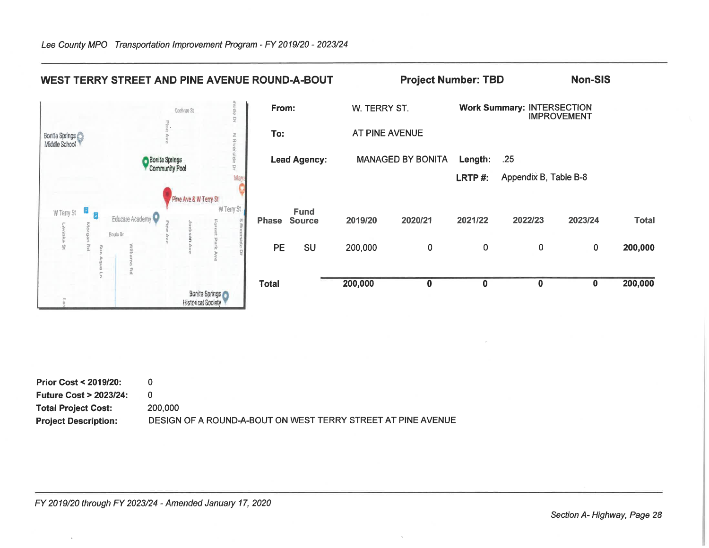

| <b>Prior Cost &lt; 2019/20:</b>  |                                                              |
|----------------------------------|--------------------------------------------------------------|
| <b>Future Cost &gt; 2023/24:</b> |                                                              |
| <b>Total Project Cost:</b>       | 200,000                                                      |
| <b>Project Description:</b>      | DESIGN OF A ROUND-A-BOUT ON WEST TERRY STREET AT PINE AVENUE |

Section A-Highway, Page 28